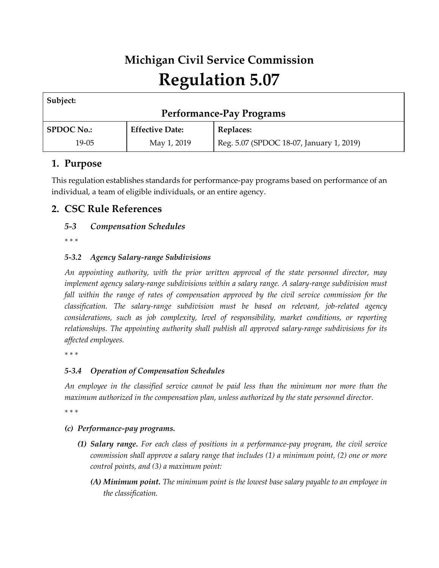# **Michigan Civil Service Commission Regulation 5.07**

| Subject:                        |                        |                                          |
|---------------------------------|------------------------|------------------------------------------|
| <b>Performance-Pay Programs</b> |                        |                                          |
| <b>SPDOC No.:</b>               | <b>Effective Date:</b> | <b>Replaces:</b>                         |
| 19-05                           | May 1, 2019            | Reg. 5.07 (SPDOC 18-07, January 1, 2019) |

# **1. Purpose**

This regulation establishes standards for performance-pay programs based on performance of an individual, a team of eligible individuals, or an entire agency.

# **2. CSC Rule References**

## *5-3 Compensation Schedules*

*\* \* \** 

## *5-3.2 Agency Salary-range Subdivisions*

*An appointing authority, with the prior written approval of the state personnel director, may implement agency salary-range subdivisions within a salary range. A salary-range subdivision must fall within the range of rates of compensation approved by the civil service commission for the classification. The salary-range subdivision must be based on relevant, job-related agency considerations, such as job complexity, level of responsibility, market conditions, or reporting relationships. The appointing authority shall publish all approved salary-range subdivisions for its affected employees.*

*\* \* \** 

## *5-3.4 Operation of Compensation Schedules*

*An employee in the classified service cannot be paid less than the minimum nor more than the maximum authorized in the compensation plan, unless authorized by the state personnel director.*

*\* \* \** 

#### *(c) Performance-pay programs.*

- *(1) Salary range. For each class of positions in a performance-pay program, the civil service commission shall approve a salary range that includes (1) a minimum point, (2) one or more control points, and (3) a maximum point:*
	- *(A) Minimum point. The minimum point is the lowest base salary payable to an employee in the classification.*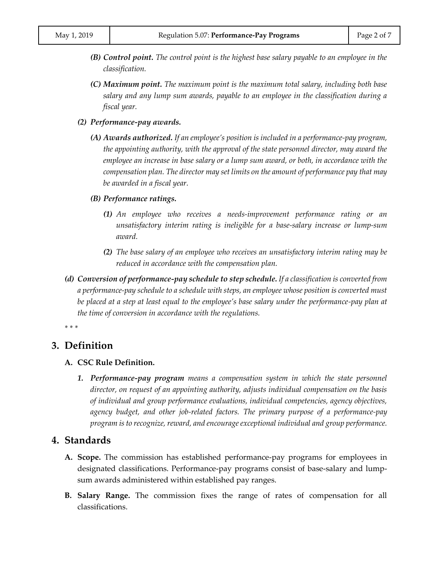- *(B) Control point. The control point is the highest base salary payable to an employee in the classification.*
- *(C) Maximum point. The maximum point is the maximum total salary, including both base salary and any lump sum awards, payable to an employee in the classification during a fiscal year.*
- *(2) Performance-pay awards.*
	- *(A) Awards authorized. If an employee's position is included in a performance-pay program, the appointing authority, with the approval of the state personnel director, may award the employee an increase in base salary or a lump sum award, or both, in accordance with the compensation plan. The director may set limits on the amount of performance pay that may be awarded in a fiscal year.*
	- *(B) Performance ratings.*
		- *(1) An employee who receives a needs-improvement performance rating or an unsatisfactory interim rating is ineligible for a base-salary increase or lump-sum award.*
		- *(2) The base salary of an employee who receives an unsatisfactory interim rating may be reduced in accordance with the compensation plan.*
- *(d) Conversion of performance-pay schedule to step schedule. If a classification is converted from a performance-pay schedule to a schedule with steps, an employee whose position is converted must be placed at a step at least equal to the employee's base salary under the performance-pay plan at the time of conversion in accordance with the regulations.*

*\* \* \** 

#### **3. Definition**

#### **A. CSC Rule Definition.**

*1. Performance-pay program means a compensation system in which the state personnel director, on request of an appointing authority, adjusts individual compensation on the basis of individual and group performance evaluations, individual competencies, agency objectives, agency budget, and other job-related factors. The primary purpose of a performance-pay program is to recognize, reward, and encourage exceptional individual and group performance.*

#### **4. Standards**

- **A. Scope.** The commission has established performance-pay programs for employees in designated classifications. Performance-pay programs consist of base-salary and lumpsum awards administered within established pay ranges.
- **B. Salary Range.** The commission fixes the range of rates of compensation for all classifications.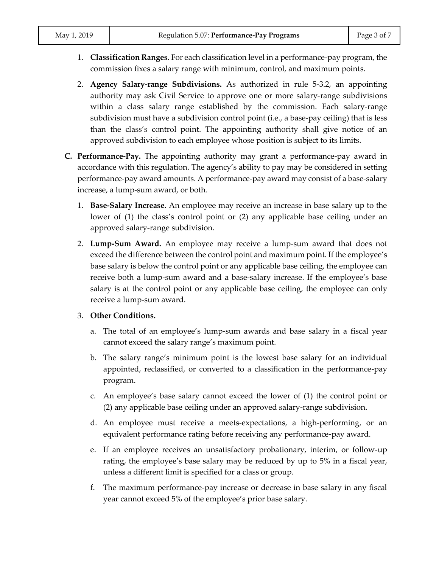- 1. **Classification Ranges.** For each classification level in a performance-pay program, the commission fixes a salary range with minimum, control, and maximum points.
- 2. **Agency Salary-range Subdivisions.** As authorized in rule 5-3.2, an appointing authority may ask Civil Service to approve one or more salary-range subdivisions within a class salary range established by the commission. Each salary-range subdivision must have a subdivision control point (i.e., a base-pay ceiling) that is less than the class's control point. The appointing authority shall give notice of an approved subdivision to each employee whose position is subject to its limits.
- **C. Performance-Pay.** The appointing authority may grant a performance-pay award in accordance with this regulation. The agency's ability to pay may be considered in setting performance-pay award amounts. A performance-pay award may consist of a base-salary increase, a lump-sum award, or both.
	- 1. **Base-Salary Increase.** An employee may receive an increase in base salary up to the lower of (1) the class's control point or (2) any applicable base ceiling under an approved salary-range subdivision.
	- 2. **Lump-Sum Award.** An employee may receive a lump-sum award that does not exceed the difference between the control point and maximum point. If the employee's base salary is below the control point or any applicable base ceiling, the employee can receive both a lump-sum award and a base-salary increase. If the employee's base salary is at the control point or any applicable base ceiling, the employee can only receive a lump-sum award.
	- 3. **Other Conditions.**
		- a. The total of an employee's lump-sum awards and base salary in a fiscal year cannot exceed the salary range's maximum point.
		- b. The salary range's minimum point is the lowest base salary for an individual appointed, reclassified, or converted to a classification in the performance-pay program.
		- c. An employee's base salary cannot exceed the lower of (1) the control point or (2) any applicable base ceiling under an approved salary-range subdivision.
		- d. An employee must receive a meets-expectations, a high-performing, or an equivalent performance rating before receiving any performance-pay award.
		- e. If an employee receives an unsatisfactory probationary, interim, or follow-up rating, the employee's base salary may be reduced by up to 5% in a fiscal year, unless a different limit is specified for a class or group.
		- f. The maximum performance-pay increase or decrease in base salary in any fiscal year cannot exceed 5% of the employee's prior base salary.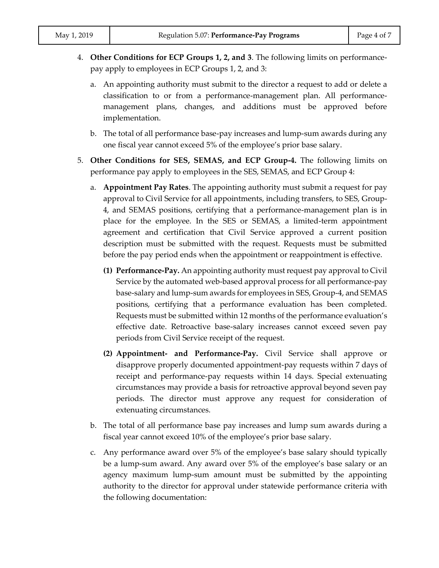- 4. **Other Conditions for ECP Groups 1, 2, and 3**. The following limits on performancepay apply to employees in ECP Groups 1, 2, and 3:
	- a. An appointing authority must submit to the director a request to add or delete a classification to or from a performance-management plan. All performancemanagement plans, changes, and additions must be approved before implementation.
	- b. The total of all performance base-pay increases and lump-sum awards during any one fiscal year cannot exceed 5% of the employee's prior base salary.
- 5. **Other Conditions for SES, SEMAS, and ECP Group-4.** The following limits on performance pay apply to employees in the SES, SEMAS, and ECP Group 4:
	- a. **Appointment Pay Rates**. The appointing authority must submit a request for pay approval to Civil Service for all appointments, including transfers, to SES, Group-4, and SEMAS positions, certifying that a performance-management plan is in place for the employee. In the SES or SEMAS, a limited-term appointment agreement and certification that Civil Service approved a current position description must be submitted with the request. Requests must be submitted before the pay period ends when the appointment or reappointment is effective.
		- **(1) Performance-Pay.** An appointing authority must request pay approval to Civil Service by the automated web-based approval process for all performance-pay base-salary and lump-sum awards for employees in SES, Group-4, and SEMAS positions, certifying that a performance evaluation has been completed. Requests must be submitted within 12 months of the performance evaluation's effective date. Retroactive base-salary increases cannot exceed seven pay periods from Civil Service receipt of the request.
		- **(2) Appointment- and Performance-Pay.** Civil Service shall approve or disapprove properly documented appointment-pay requests within 7 days of receipt and performance-pay requests within 14 days. Special extenuating circumstances may provide a basis for retroactive approval beyond seven pay periods. The director must approve any request for consideration of extenuating circumstances.
	- b. The total of all performance base pay increases and lump sum awards during a fiscal year cannot exceed 10% of the employee's prior base salary.
	- c. Any performance award over 5% of the employee's base salary should typically be a lump-sum award. Any award over 5% of the employee's base salary or an agency maximum lump-sum amount must be submitted by the appointing authority to the director for approval under statewide performance criteria with the following documentation: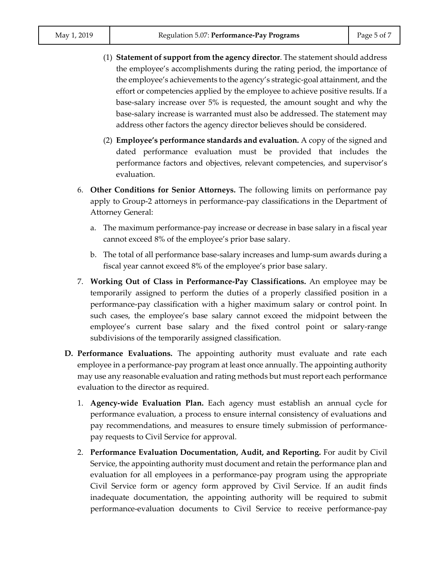- (1) **Statement of support from the agency director**. The statement should address the employee's accomplishments during the rating period, the importance of the employee's achievements to the agency's strategic-goal attainment, and the effort or competencies applied by the employee to achieve positive results. If a base-salary increase over 5% is requested, the amount sought and why the base-salary increase is warranted must also be addressed. The statement may address other factors the agency director believes should be considered.
- (2) **Employee's performance standards and evaluation.** A copy of the signed and dated performance evaluation must be provided that includes the performance factors and objectives, relevant competencies, and supervisor's evaluation.
- 6. **Other Conditions for Senior Attorneys.** The following limits on performance pay apply to Group-2 attorneys in performance-pay classifications in the Department of Attorney General:
	- a. The maximum performance-pay increase or decrease in base salary in a fiscal year cannot exceed 8% of the employee's prior base salary.
	- b. The total of all performance base-salary increases and lump-sum awards during a fiscal year cannot exceed 8% of the employee's prior base salary.
- 7. **Working Out of Class in Performance-Pay Classifications.** An employee may be temporarily assigned to perform the duties of a properly classified position in a performance-pay classification with a higher maximum salary or control point. In such cases, the employee's base salary cannot exceed the midpoint between the employee's current base salary and the fixed control point or salary-range subdivisions of the temporarily assigned classification.
- **D. Performance Evaluations.** The appointing authority must evaluate and rate each employee in a performance-pay program at least once annually. The appointing authority may use any reasonable evaluation and rating methods but must report each performance evaluation to the director as required.
	- 1. **Agency-wide Evaluation Plan.** Each agency must establish an annual cycle for performance evaluation, a process to ensure internal consistency of evaluations and pay recommendations, and measures to ensure timely submission of performancepay requests to Civil Service for approval.
	- 2. **Performance Evaluation Documentation, Audit, and Reporting.** For audit by Civil Service, the appointing authority must document and retain the performance plan and evaluation for all employees in a performance-pay program using the appropriate Civil Service form or agency form approved by Civil Service. If an audit finds inadequate documentation, the appointing authority will be required to submit performance-evaluation documents to Civil Service to receive performance-pay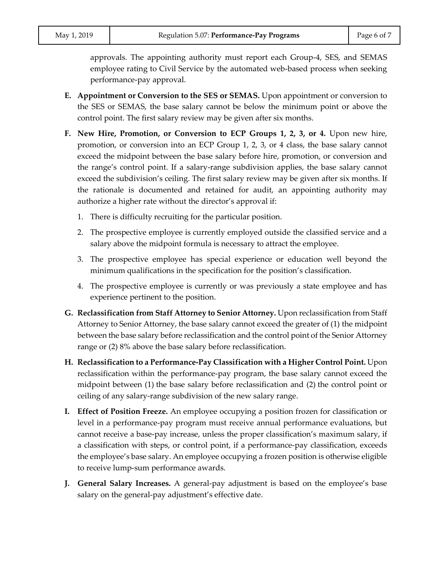approvals. The appointing authority must report each Group-4, SES, and SEMAS employee rating to Civil Service by the automated web-based process when seeking performance-pay approval.

- **E. Appointment or Conversion to the SES or SEMAS.** Upon appointment or conversion to the SES or SEMAS, the base salary cannot be below the minimum point or above the control point. The first salary review may be given after six months.
- **F. New Hire, Promotion, or Conversion to ECP Groups 1, 2, 3, or 4.** Upon new hire, promotion, or conversion into an ECP Group 1, 2, 3, or 4 class, the base salary cannot exceed the midpoint between the base salary before hire, promotion, or conversion and the range's control point. If a salary-range subdivision applies, the base salary cannot exceed the subdivision's ceiling. The first salary review may be given after six months. If the rationale is documented and retained for audit, an appointing authority may authorize a higher rate without the director's approval if:
	- 1. There is difficulty recruiting for the particular position.
	- 2. The prospective employee is currently employed outside the classified service and a salary above the midpoint formula is necessary to attract the employee.
	- 3. The prospective employee has special experience or education well beyond the minimum qualifications in the specification for the position's classification.
	- 4. The prospective employee is currently or was previously a state employee and has experience pertinent to the position.
- **G. Reclassification from Staff Attorney to Senior Attorney.** Upon reclassification from Staff Attorney to Senior Attorney, the base salary cannot exceed the greater of (1) the midpoint between the base salary before reclassification and the control point of the Senior Attorney range or (2) 8% above the base salary before reclassification.
- **H. Reclassification to a Performance-Pay Classification with a Higher Control Point.** Upon reclassification within the performance-pay program, the base salary cannot exceed the midpoint between (1) the base salary before reclassification and (2) the control point or ceiling of any salary-range subdivision of the new salary range.
- **I. Effect of Position Freeze.** An employee occupying a position frozen for classification or level in a performance-pay program must receive annual performance evaluations, but cannot receive a base-pay increase, unless the proper classification's maximum salary, if a classification with steps, or control point, if a performance-pay classification, exceeds the employee's base salary. An employee occupying a frozen position is otherwise eligible to receive lump-sum performance awards.
- **J. General Salary Increases.** A general-pay adjustment is based on the employee's base salary on the general-pay adjustment's effective date.